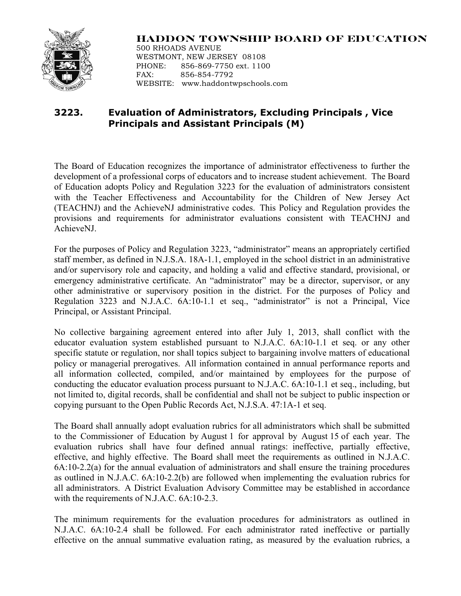

## **HADDON TOWNSHIP BOARD OF EDUCATION**

500 RHOADS AVENUE WESTMONT, NEW JERSEY 08108 PHONE: 856-869-7750 ext. 1100 FAX: 856-854-7792 WEBSITE: www.haddontwpschools.com

## **3223. Evaluation of Administrators, Excluding Principals , Vice Principals and Assistant Principals (M)**

The Board of Education recognizes the importance of administrator effectiveness to further the development of a professional corps of educators and to increase student achievement. The Board of Education adopts Policy and Regulation 3223 for the evaluation of administrators consistent with the Teacher Effectiveness and Accountability for the Children of New Jersey Act (TEACHNJ) and the AchieveNJ administrative codes. This Policy and Regulation provides the provisions and requirements for administrator evaluations consistent with TEACHNJ and AchieveNJ.

For the purposes of Policy and Regulation 3223, "administrator" means an appropriately certified staff member, as defined in N.J.S.A. 18A-1.1, employed in the school district in an administrative and/or supervisory role and capacity, and holding a valid and effective standard, provisional, or emergency administrative certificate. An "administrator" may be a director, supervisor, or any other administrative or supervisory position in the district. For the purposes of Policy and Regulation 3223 and N.J.A.C. 6A:10-1.1 et seq., "administrator" is not a Principal, Vice Principal, or Assistant Principal.

No collective bargaining agreement entered into after July 1, 2013, shall conflict with the educator evaluation system established pursuant to N.J.A.C. 6A:10-1.1 et seq. or any other specific statute or regulation, nor shall topics subject to bargaining involve matters of educational policy or managerial prerogatives. All information contained in annual performance reports and all information collected, compiled, and/or maintained by employees for the purpose of conducting the educator evaluation process pursuant to N.J.A.C. 6A:10-1.1 et seq., including, but not limited to, digital records, shall be confidential and shall not be subject to public inspection or copying pursuant to the Open Public Records Act, N.J.S.A. 47:1A-1 et seq.

The Board shall annually adopt evaluation rubrics for all administrators which shall be submitted to the Commissioner of Education by August 1 for approval by August 15 of each year. The evaluation rubrics shall have four defined annual ratings: ineffective, partially effective, effective, and highly effective. The Board shall meet the requirements as outlined in N.J.A.C. 6A:10-2.2(a) for the annual evaluation of administrators and shall ensure the training procedures as outlined in N.J.A.C. 6A:10-2.2(b) are followed when implementing the evaluation rubrics for all administrators. A District Evaluation Advisory Committee may be established in accordance with the requirements of N.J.A.C. 6A:10-2.3.

The minimum requirements for the evaluation procedures for administrators as outlined in N.J.A.C. 6A:10-2.4 shall be followed. For each administrator rated ineffective or partially effective on the annual summative evaluation rating, as measured by the evaluation rubrics, a